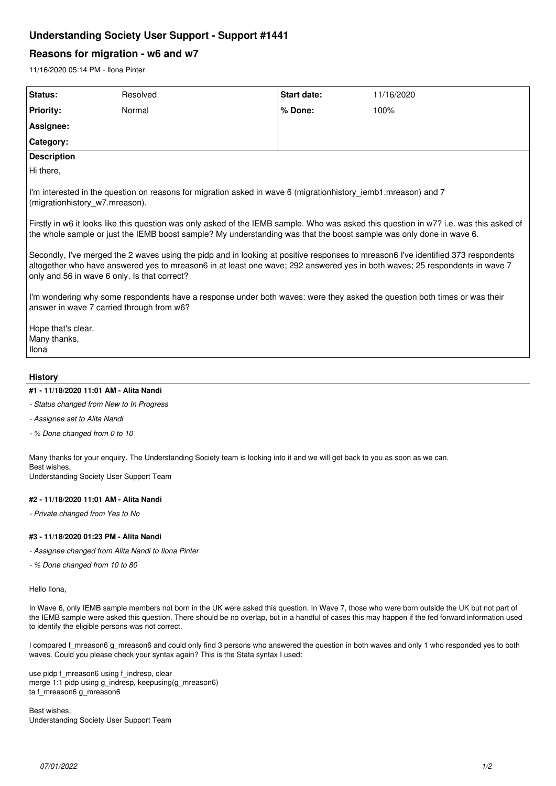# **Understanding Society User Support - Support #1441**

## **Reasons for migration - w6 and w7**

11/16/2020 05:14 PM - Ilona Pinter

| Status:                                                                                                                                                                                                                                                                                                          | Resolved | <b>Start date:</b> | 11/16/2020 |
|------------------------------------------------------------------------------------------------------------------------------------------------------------------------------------------------------------------------------------------------------------------------------------------------------------------|----------|--------------------|------------|
| <b>Priority:</b>                                                                                                                                                                                                                                                                                                 | Normal   | % Done:            | 100%       |
| Assignee:                                                                                                                                                                                                                                                                                                        |          |                    |            |
| Category:                                                                                                                                                                                                                                                                                                        |          |                    |            |
| <b>Description</b>                                                                                                                                                                                                                                                                                               |          |                    |            |
| Hi there,                                                                                                                                                                                                                                                                                                        |          |                    |            |
| I'm interested in the question on reasons for migration asked in wave 6 (migrationhistory iemb1.mreason) and 7<br>(migrationhistory w7.mreason).                                                                                                                                                                 |          |                    |            |
| Firstly in w6 it looks like this question was only asked of the IEMB sample. Who was asked this question in w7? i.e. was this asked of<br>the whole sample or just the IEMB boost sample? My understanding was that the boost sample was only done in wave 6.                                                    |          |                    |            |
| Secondly, I've merged the 2 waves using the pidp and in looking at positive responses to mreason6 I've identified 373 respondents<br>altogether who have answered yes to mreason6 in at least one wave; 292 answered yes in both waves; 25 respondents in wave 7<br>only and 56 in wave 6 only. Is that correct? |          |                    |            |
| I'm wondering why some respondents have a response under both waves: were they asked the question both times or was their<br>answer in wave 7 carried through from w6?                                                                                                                                           |          |                    |            |
| Hope that's clear.<br>Many thanks,<br>Ilona                                                                                                                                                                                                                                                                      |          |                    |            |

## **History**

## **#1 - 11/18/2020 11:01 AM - Alita Nandi**

- *Status changed from New to In Progress*
- *Assignee set to Alita Nandi*
- *% Done changed from 0 to 10*

Many thanks for your enquiry. The Understanding Society team is looking into it and we will get back to you as soon as we can. Best wishes,

Understanding Society User Support Team

## **#2 - 11/18/2020 11:01 AM - Alita Nandi**

*- Private changed from Yes to No*

### **#3 - 11/18/2020 01:23 PM - Alita Nandi**

*- Assignee changed from Alita Nandi to Ilona Pinter*

*- % Done changed from 10 to 80*

Hello Ilona,

In Wave 6, only IEMB sample members not born in the UK were asked this question. In Wave 7, those who were born outside the UK but not part of the IEMB sample were asked this question. There should be no overlap, but in a handful of cases this may happen if the fed forward information used to identify the eligible persons was not correct.

I compared f\_mreason6 g\_mreason6 and could only find 3 persons who answered the question in both waves and only 1 who responded yes to both waves. Could you please check your syntax again? This is the Stata syntax I used:

use pidp f\_mreason6 using f\_indresp, clear merge 1:1 pidp using g\_indresp, keepusing(g\_mreason6) ta f\_mreason6 g\_mreason6

Best wishes, Understanding Society User Support Team